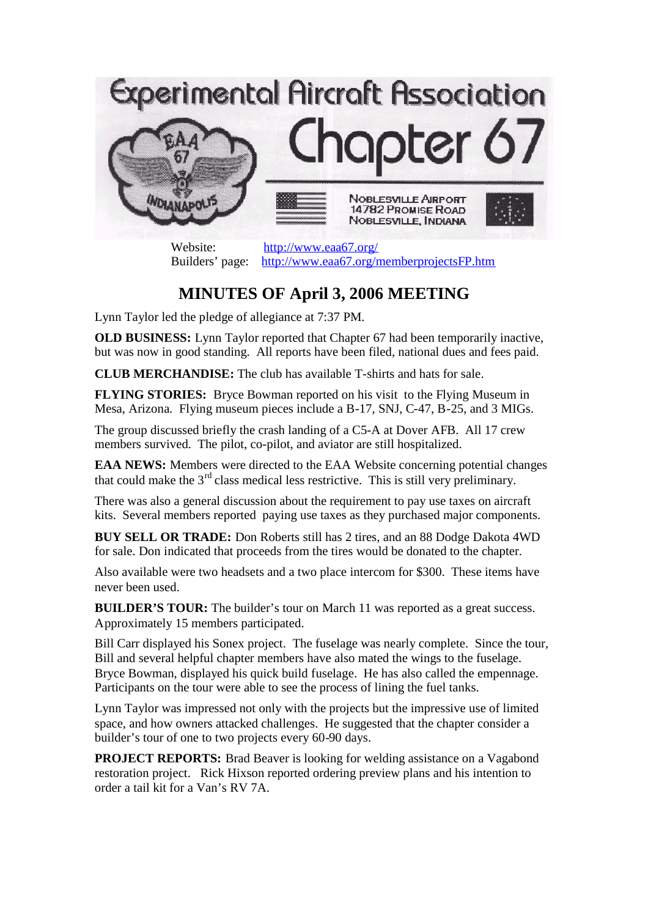

Website: http://www.eaa67.org/ Builders' page: http://www.eaa67.org/memberprojectsFP.htm

## **MINUTES OF April 3, 2006 MEETING**

Lynn Taylor led the pledge of allegiance at 7:37 PM.

**OLD BUSINESS:** Lynn Taylor reported that Chapter 67 had been temporarily inactive, but was now in good standing. All reports have been filed, national dues and fees paid.

**CLUB MERCHANDISE:** The club has available T-shirts and hats for sale.

**FLYING STORIES:** Bryce Bowman reported on his visit to the Flying Museum in Mesa, Arizona. Flying museum pieces include a B-17, SNJ, C-47, B-25, and 3 MIGs.

The group discussed briefly the crash landing of a C5-A at Dover AFB. All 17 crew members survived. The pilot, co-pilot, and aviator are still hospitalized.

**EAA NEWS:** Members were directed to the EAA Website concerning potential changes that could make the  $3<sup>rd</sup>$  class medical less restrictive. This is still very preliminary.

There was also a general discussion about the requirement to pay use taxes on aircraft kits. Several members reported paying use taxes as they purchased major components.

**BUY SELL OR TRADE:** Don Roberts still has 2 tires, and an 88 Dodge Dakota 4WD for sale. Don indicated that proceeds from the tires would be donated to the chapter.

Also available were two headsets and a two place intercom for \$300. These items have never been used.

**BUILDER'S TOUR:** The builder's tour on March 11 was reported as a great success. Approximately 15 members participated.

Bill Carr displayed his Sonex project. The fuselage was nearly complete. Since the tour, Bill and several helpful chapter members have also mated the wings to the fuselage. Bryce Bowman, displayed his quick build fuselage. He has also called the empennage. Participants on the tour were able to see the process of lining the fuel tanks.

Lynn Taylor was impressed not only with the projects but the impressive use of limited space, and how owners attacked challenges. He suggested that the chapter consider a builder's tour of one to two projects every 60-90 days.

**PROJECT REPORTS:** Brad Beaver is looking for welding assistance on a Vagabond restoration project. Rick Hixson reported ordering preview plans and his intention to order a tail kit for a Van's RV 7A.